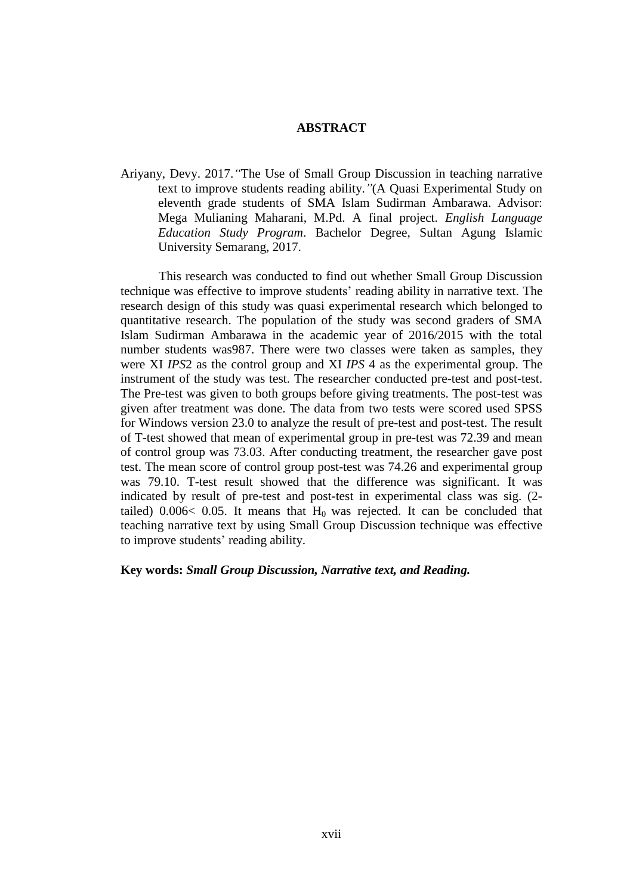## **ABSTRACT**

Ariyany, Devy. 2017.*"*The Use of Small Group Discussion in teaching narrative text to improve students reading ability.*"*(A Quasi Experimental Study on eleventh grade students of SMA Islam Sudirman Ambarawa. Advisor: Mega Mulianing Maharani, M.Pd. A final project. *English Language Education Study Program*. Bachelor Degree, Sultan Agung Islamic University Semarang, 2017.

This research was conducted to find out whether Small Group Discussion technique was effective to improve students' reading ability in narrative text. The research design of this study was quasi experimental research which belonged to quantitative research. The population of the study was second graders of SMA Islam Sudirman Ambarawa in the academic year of 2016/2015 with the total number students was987. There were two classes were taken as samples, they were XI *IPS*2 as the control group and XI *IPS* 4 as the experimental group. The instrument of the study was test. The researcher conducted pre-test and post-test. The Pre-test was given to both groups before giving treatments. The post-test was given after treatment was done. The data from two tests were scored used SPSS for Windows version 23.0 to analyze the result of pre-test and post-test. The result of T-test showed that mean of experimental group in pre-test was 72.39 and mean of control group was 73.03. After conducting treatment, the researcher gave post test. The mean score of control group post-test was 74.26 and experimental group was 79.10. T-test result showed that the difference was significant. It was indicated by result of pre-test and post-test in experimental class was sig. (2 tailed) 0.006< 0.05. It means that  $H_0$  was rejected. It can be concluded that teaching narrative text by using Small Group Discussion technique was effective to improve students' reading ability.

## **Key words:** *Small Group Discussion, Narrative text, and Reading.*